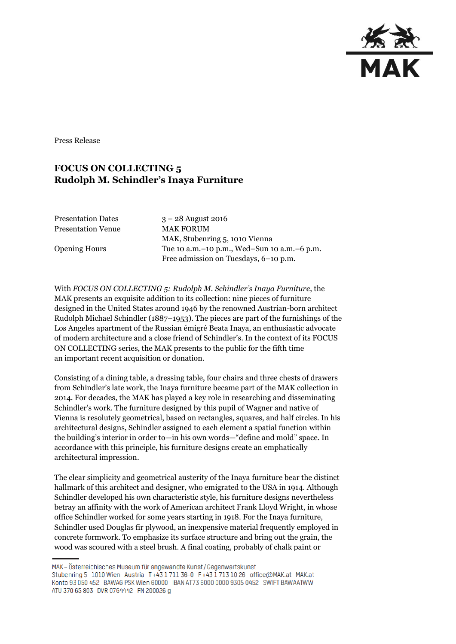

Press Release

## **FOCUS ON COLLECTING 5 Rudolph M. Schindler's Inaya Furniture**

Presentation Dates 3 – 28 August 2016 Presentation Venue MAK FORUM

MAK, Stubenring 5, 1010 Vienna Opening Hours Tue 10 a.m.–10 p.m., Wed–Sun 10 a.m.–6 p.m. Free admission on Tuesdays, 6–10 p.m.

With *FOCUS ON COLLECTING 5: Rudolph M. Schindler's Inaya Furniture*, the MAK presents an exquisite addition to its collection: nine pieces of furniture designed in the United States around 1946 by the renowned Austrian-born architect Rudolph Michael Schindler (1887–1953). The pieces are part of the furnishings of the Los Angeles apartment of the Russian émigré Beata Inaya, an enthusiastic advocate of modern architecture and a close friend of Schindler's. In the context of its FOCUS ON COLLECTING series, the MAK presents to the public for the fifth time an important recent acquisition or donation.

Consisting of a dining table, a dressing table, four chairs and three chests of drawers from Schindler's late work, the Inaya furniture became part of the MAK collection in 2014. For decades, the MAK has played a key role in researching and disseminating Schindler's work. The furniture designed by this pupil of Wagner and native of Vienna is resolutely geometrical, based on rectangles, squares, and half circles. In his architectural designs, Schindler assigned to each element a spatial function within the building's interior in order to—in his own words—"define and mold" space. In accordance with this principle, his furniture designs create an emphatically architectural impression.

The clear simplicity and geometrical austerity of the Inaya furniture bear the distinct hallmark of this architect and designer, who emigrated to the USA in 1914. Although Schindler developed his own characteristic style, his furniture designs nevertheless betray an affinity with the work of American architect Frank Lloyd Wright, in whose office Schindler worked for some years starting in 1918. For the Inaya furniture, Schindler used Douglas fir plywood, an inexpensive material frequently employed in concrete formwork. To emphasize its surface structure and bring out the grain, the wood was scoured with a steel brush. A final coating, probably of chalk paint or

MAK - Österreichisches Museum für angewandte Kunst/Gegenwartskunst Stubenring 5 1010 Wien Austria T+43 1711 36-0 F+43 1713 10 26 office@MAK.at MAK.at Konto 93 050 452 BAWAG PSK Wien 60000 IBAN AT73 6000 0000 9305 0452 SWIFT BAWAATWW ATU 370 65 803 DVR 0764442 FN 200026 g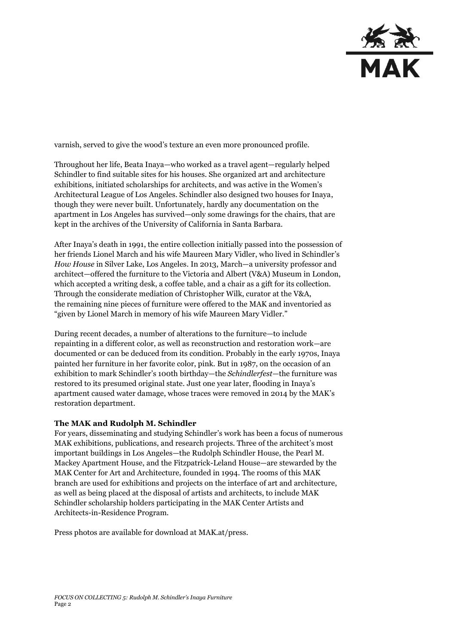

varnish, served to give the wood's texture an even more pronounced profile.

Throughout her life, Beata Inaya—who worked as a travel agent—regularly helped Schindler to find suitable sites for his houses. She organized art and architecture exhibitions, initiated scholarships for architects, and was active in the Women's Architectural League of Los Angeles. Schindler also designed two houses for Inaya, though they were never built. Unfortunately, hardly any documentation on the apartment in Los Angeles has survived—only some drawings for the chairs, that are kept in the archives of the University of California in Santa Barbara.

After Inaya's death in 1991, the entire collection initially passed into the possession of her friends Lionel March and his wife Maureen Mary Vidler, who lived in Schindler's *How House* in Silver Lake, Los Angeles. In 2013, March—a university professor and architect—offered the furniture to the Victoria and Albert (V&A) Museum in London, which accepted a writing desk, a coffee table, and a chair as a gift for its collection. Through the considerate mediation of Christopher Wilk, curator at the V&A, the remaining nine pieces of furniture were offered to the MAK and inventoried as "given by Lionel March in memory of his wife Maureen Mary Vidler."

During recent decades, a number of alterations to the furniture—to include repainting in a different color, as well as reconstruction and restoration work—are documented or can be deduced from its condition. Probably in the early 1970s, Inaya painted her furniture in her favorite color, pink. But in 1987, on the occasion of an exhibition to mark Schindler's 100th birthday—the *Schindlerfest*—the furniture was restored to its presumed original state. Just one year later, flooding in Inaya's apartment caused water damage, whose traces were removed in 2014 by the MAK's restoration department.

## **The MAK and Rudolph M. Schindler**

For years, disseminating and studying Schindler's work has been a focus of numerous MAK exhibitions, publications, and research projects. Three of the architect's most important buildings in Los Angeles—the Rudolph Schindler House, the Pearl M. Mackey Apartment House, and the Fitzpatrick-Leland House—are stewarded by the MAK Center for Art and Architecture, founded in 1994. The rooms of this MAK branch are used for exhibitions and projects on the interface of art and architecture, as well as being placed at the disposal of artists and architects, to include MAK Schindler scholarship holders participating in the MAK Center Artists and Architects-in-Residence Program.

Press photos are available for download at MAK.at/press.